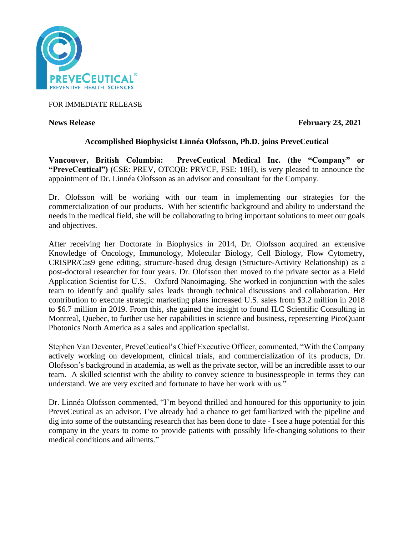

FOR IMMEDIATE RELEASE

**News Release** February 23, 2021

# **Accomplished Biophysicist Linnéa Olofsson, Ph.D. joins PreveCeutical**

**Vancouver, British Columbia: PreveCeutical Medical Inc. (the "Company" or "PreveCeutical")** (CSE: PREV, OTCQB: PRVCF, FSE: 18H), is very pleased to announce the appointment of Dr. Linnéa Olofsson as an advisor and consultant for the Company.

Dr. Olofsson will be working with our team in implementing our strategies for the commercialization of our products. With her scientific background and ability to understand the needs in the medical field, she will be collaborating to bring important solutions to meet our goals and objectives.

After receiving her Doctorate in Biophysics in 2014, Dr. Olofsson acquired an extensive Knowledge of Oncology, Immunology, Molecular Biology, Cell Biology, Flow Cytometry, CRISPR/Cas9 gene editing, structure-based drug design (Structure-Activity Relationship) as a post-doctoral researcher for four years. Dr. Olofsson then moved to the private sector as a Field Application Scientist for U.S. – Oxford Nanoimaging. She worked in conjunction with the sales team to identify and qualify sales leads through technical discussions and collaboration. Her contribution to execute strategic marketing plans increased U.S. sales from \$3.2 million in 2018 to \$6.7 million in 2019. From this, she gained the insight to found ILC Scientific Consulting in Montreal, Quebec, to further use her capabilities in science and business, representing PicoQuant Photonics North America as a sales and application specialist.

Stephen Van Deventer, PreveCeutical's Chief Executive Officer, commented, "With the Company actively working on development, clinical trials, and commercialization of its products, Dr. Olofsson's background in academia, as well as the private sector, will be an incredible asset to our team. A skilled scientist with the ability to convey science to businesspeople in terms they can understand. We are very excited and fortunate to have her work with us."

Dr. Linnéa Olofsson commented, "I'm beyond thrilled and honoured for this opportunity to join PreveCeutical as an advisor. I've already had a chance to get familiarized with the pipeline and dig into some of the outstanding research that has been done to date - I see a huge potential for this company in the years to come to provide patients with possibly life-changing solutions to their medical conditions and ailments."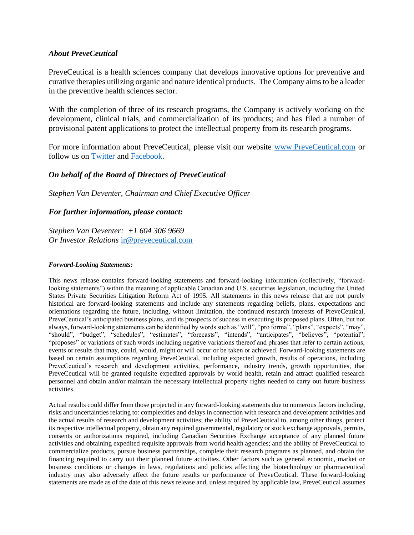## *About PreveCeutical*

PreveCeutical is a health sciences company that develops innovative options for preventive and curative therapies utilizing organic and nature identical products. The Company aims to be a leader in the preventive health sciences sector.

With the completion of three of its research programs, the Company is actively working on the development, clinical trials, and commercialization of its products; and has filed a number of provisional patent applications to protect the intellectual property from its research programs.

For more information about PreveCeutical, please visit our website [www.PreveCeutical.com](http://www.preveceutical.com/) or follow us on [Twitter](http://twitter.com/PreveCeuticals) and [Facebook.](http://www.facebook.com/PreveCeutical)

# *On behalf of the Board of Directors of PreveCeutical*

*Stephen Van Deventer, Chairman and Chief Executive Officer*

## *For further information, please contact:*

*Stephen Van Deventer: +1 604 306 9669 Or Investor Relations* [ir@preveceutical.com](mailto:ir@preveceutical.com)

#### *Forward-Looking Statements:*

This news release contains forward-looking statements and forward-looking information (collectively, "forwardlooking statements") within the meaning of applicable Canadian and U.S. securities legislation, including the United States Private Securities Litigation Reform Act of 1995. All statements in this news release that are not purely historical are forward-looking statements and include any statements regarding beliefs, plans, expectations and orientations regarding the future, including, without limitation, the continued research interests of PreveCeutical, PreveCeutical's anticipated business plans, and its prospects of success in executing its proposed plans. Often, but not always, forward-looking statements can be identified by words such as "will", "pro forma", "plans", "expects", "may", "should", "budget", "schedules", "estimates", "forecasts", "intends", "anticipates", "believes", "potential", "proposes" or variations of such words including negative variations thereof and phrases that refer to certain actions, events or results that may, could, would, might or will occur or be taken or achieved. Forward-looking statements are based on certain assumptions regarding PreveCeutical, including expected growth, results of operations, including PreveCeutical's research and development activities, performance, industry trends, growth opportunities, that PreveCeutical will be granted requisite expedited approvals by world health, retain and attract qualified research personnel and obtain and/or maintain the necessary intellectual property rights needed to carry out future business activities.

Actual results could differ from those projected in any forward-looking statements due to numerous factors including, risks and uncertainties relating to: complexities and delays in connection with research and development activities and the actual results of research and development activities; the ability of PreveCeutical to, among other things, protect its respective intellectual property, obtain any required governmental, regulatory or stock exchange approvals, permits, consents or authorizations required, including Canadian Securities Exchange acceptance of any planned future activities and obtaining expedited requisite approvals from world health agencies; and the ability of PreveCeutical to commercialize products, pursue business partnerships, complete their research programs as planned, and obtain the financing required to carry out their planned future activities. Other factors such as general economic, market or business conditions or changes in laws, regulations and policies affecting the biotechnology or pharmaceutical industry may also adversely affect the future results or performance of PreveCeutical. These forward-looking statements are made as of the date of this news release and, unless required by applicable law, PreveCeutical assumes